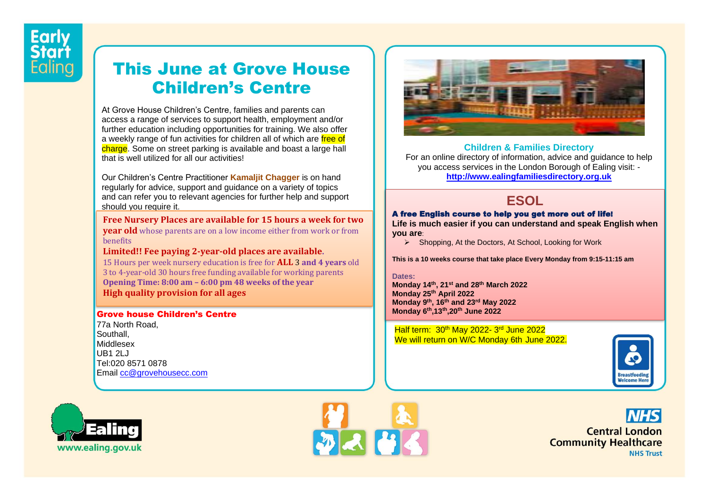# This June at Grove House Children's Centre

At Grove House Children's Centre, families and parents can access a range of services to support health, employment and/or further education including opportunities for training. We also offer a weekly range of fun activities for children all of which are free of charge. Some on street parking is available and boast a large hall that is well utilized for all our activities!

Our Children's Centre Practitioner **Kamaljit Chagger** is on hand regularly for advice, support and guidance on a variety of topics and can refer you to relevant agencies for further help and support should you require it.

**Free Nursery Places are available for 15 hours a week for two** 

 **year old** whose parents are on a low income either from work or from benefits

**Limited!! Fee paying 2-year-old places are available.** 

15 Hours per week nursery education is free for **ALL** 3 **and 4 years** old 3 to 4-year-old 30 hours free funding available for working parents **Opening Time: 8:00 am – 6:00 pm 48 weeks of the year High quality provision for all ages**

#### Grove house Children's Centre

77a North Road, Southall, Middlesex  $UB12L$ Tel:020 8571 0878 Email [cc@grovehousecc.com](mailto:cc@grovehousecc.com)







#### **Children & Families Directory**

For an online directory of information, advice and guidance to help you access services in the London Borough of Ealing visit: **[http://www.ealingfamiliesdirectory.org.uk](http://www.ealingfamiliesdirectory.org.uk/)**

### **ESOL**

#### A free English course to help you get more out of life!

**Life is much easier if you can understand and speak English when you are**:

▶ Shopping, At the Doctors, At School, Looking for Work

**This is a 10 weeks course that take place Every Monday from 9:15-11:15 am**

#### **Dates:**

**Monday 14th, 21st and 28th March 2022 Monday 25th April 2022 Monday 9 th, 16th and 23rd May 2022 Monday 6th,13th,20th June 2022**

Half term: 30<sup>th</sup> May 2022-3<sup>rd</sup> June 2022 We will return on W/C Monday 6th June 2022.



**Central London Community Healthcare NHS Trust**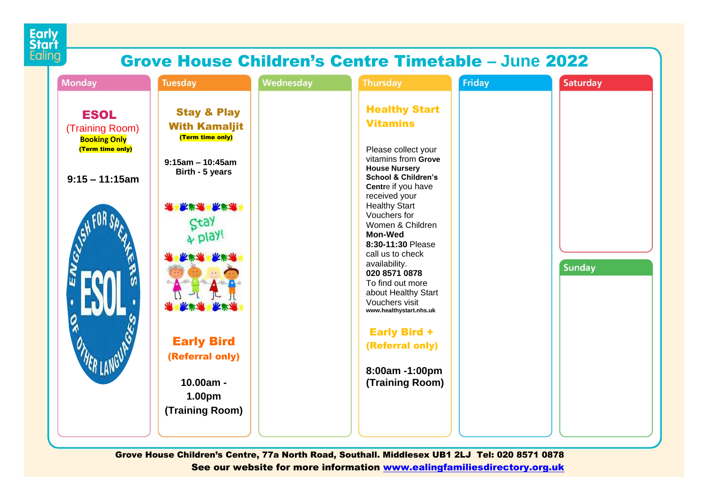

## Grove House Children's Centre Timetable **– June** 2022

| <b>Monday</b>                                                                                       | <b>Tuesday</b>                                                                                                                                                                                                                                                        | <b>Wednesday</b> | <b>Thursday</b>                                                                                                                                                                                                                                                                                                                                                                                                                                                                                                        | Friday | <b>Saturday</b> |
|-----------------------------------------------------------------------------------------------------|-----------------------------------------------------------------------------------------------------------------------------------------------------------------------------------------------------------------------------------------------------------------------|------------------|------------------------------------------------------------------------------------------------------------------------------------------------------------------------------------------------------------------------------------------------------------------------------------------------------------------------------------------------------------------------------------------------------------------------------------------------------------------------------------------------------------------------|--------|-----------------|
| <b>ESOL</b><br>(Training Room)<br><b>Booking Only</b><br>(Term time only)<br>$9:15 - 11:15$ am<br>п | <b>Stay &amp; Play</b><br><b>With Kamaljit</b><br>(Term time only)<br>$9:15am - 10:45am$<br>Birth - 5 years<br>大学术 下学术<br>Stay<br>play!<br><b>MARSH</b><br>30<br><b>* 长沙米 长沙米</b><br><b>Early Bird</b><br>(Referral only)<br>$10.00am -$<br>1.00pm<br>(Training Room) |                  | <b>Healthy Start</b><br><b>Vitamins</b><br>Please collect your<br>vitamins from Grove<br><b>House Nursery</b><br><b>School &amp; Children's</b><br>Centre if you have<br>received your<br><b>Healthy Start</b><br>Vouchers for<br>Women & Children<br><b>Mon-Wed</b><br>8:30-11:30 Please<br>call us to check<br>availability.<br>020 8571 0878<br>To find out more<br>about Healthy Start<br>Vouchers visit<br>www.healthystart.nhs.uk<br><b>Early Bird +</b><br>(Referral only)<br>8:00am -1:00pm<br>(Training Room) |        | <b>Sunday</b>   |

Grove House Children's Centre, 77a North Road, Southall. Middlesex UB1 2LJ Tel: 020 8571 0878 See our website for more information [www.ealingfamiliesdirectory.org.uk](http://www.ealingfamiliesdirectory.org.uk/)